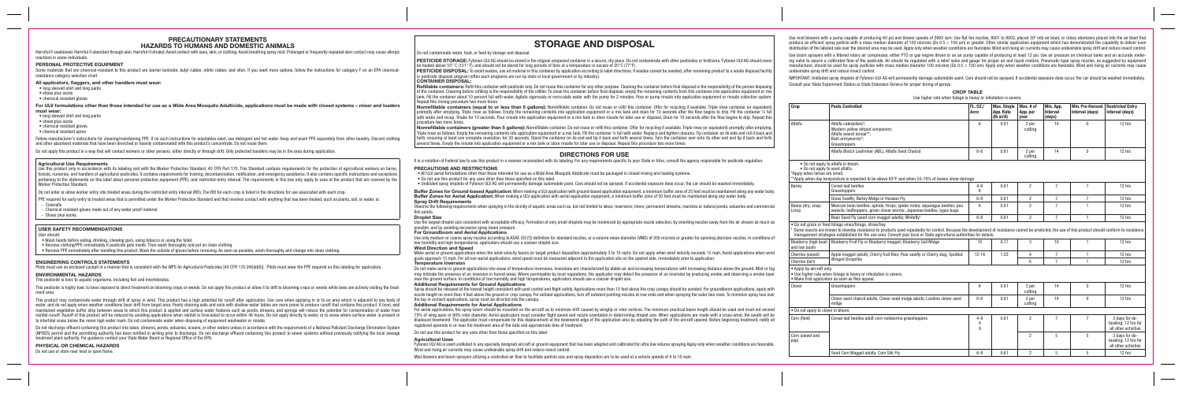#### **PRECAUTIONARY STATEMENTS HAZARDS TO HUMANS AND DOMESTIC ANIMALS**

Harmful if swallowed. Harmful if absorbed through skin. Harmful if inhaled. Avoid contact with eyes, skin, or clothing. Avoid breathing spray mist. Prolonged or frequently repeated skin contact may cause allergic reactions in some individuals.

Some materials that are chemical-resistant to this product are barrier laminate, butyl rubber, nitrile rubber, and viton. If you want more options, follow the instructions for category F on an EPA chemicalresistance category selection chart.

#### **PERSONAL PROTECTIVE EQUIPMENT**

For ULV formulations other than those intended for use as a Wide Area Mosquito Adulticide, applications must be made with closed systems – mixer and loaders **must wear:**

#### **All applicators, flaggers, and other handlers must wear:**

Follow manufacturer's instructions for cleaning/maintaining PPE. If no such instructions for washables exist, use detergent and hot water. Keep and wash PPE separately from other laundry. Discard clothing and other absorbent materials that have been drenched or heavily contaminated with this product's concentrate. Do not reuse them.

Do not apply this product in a way that will contact workers or other persons, either directly or through drift. Only protected handlers may be in the area during application.

- long sleeved shirt and long pants
- shoes plus socks
- chemical resistant gloves

- long sleeved shirt and long pants
- shoes plus socks
- chemical resistant gloves

• chemical resistant apron

Use this product only in accordance with its labeling and with the Worker Protection Standard, 40 CFR Part 170. This Standard contains requirements for the protection of agricultural workers on farms forests, nurseries, and handlers of agricultural pesticides. It contains requirements for training, decontamination, notification, and emergency assistance. It also contains specific instructions and exceptions pertaining to the statements on this label about personal protective equipment (PPE), and restricted-entry interval. The requirements in this box only apply to uses of the product that are covered by the Worker Protection Standard.

Do not enter or allow worker entry into treated areas during the restricted entry interval (REI). The REI for each crop is listed in the directions for use associated with each crop.

PPE required for early entry to treated areas that is permitted under the Worker Protection Standard and that involves contact with anything that has been treated, such as plants, soil, or water, is: - Coveralls

#### **Agricultural Use Requirements**

This pesticide is highly toxic to bees exposed to direct treatment on blooming crops or weeds. Do not apply this product or allow it to drift to blooming crops or weeds while bees are actively visiting the treatment area.

This product may contaminate water through drift of spray in wind. This product has a high potential for runoff after application. Use care when applying in or to an area which is adjacent to any body of water, and do not apply when weather conditions favor drift from target area. Poorly draining soils and soils with shallow water tables are more prone to produce runoff that contains this product. A level, well maintained vegetative buffer strip between areas to which this product is applied and surface water features such as ponds, streams, and springs will reduce the potential for contamination of water from rainfall-runoff. Runoff of this product will be reduced by avoiding applications when rainfall is forecasted to occur within 48 hours. Do not apply directly to water, or to areas where surface water is present or to intertidal areas below the mean high water mark. Do not contaminate water when disposing of equipment washwater or rinsate.

Do not discharge effluent containing this product into lakes, streams, ponds, estuaries, oceans, or other waters unless in accordance with the requirements of a National Pollutant Discharge Elimination System (NPDES) permit and the permitting authority has been notified in writing prior to discharge. Do not discharge effluent containing this product to sewer systems without previously notifying the local sewage treatment plant authority. For guidance contact your State Water Board or Regional Office of the EPA.

- Chemical resistant gloves made out of any water proof material
- Shoes plus socks.

#### **USER SAFETY RECOMMENDATIONS**

#### User should:

PESTICIDE STORAGE: Fyfanon ULV AG should be stored in the original unopened container in a secure, dry place. Do not contaminate with other pesticides or fertilizers. Fyfanon ULV AG should never be heated above 55° C (131° F), and should not be stored for long periods of time at a temperature in excess of 25°C (77°F).

- Wash hands before eating, drinking, chewing gum, using tobacco or using the toilet.
- Remove clothing/PPE immediately if pesticide gets inside. Then wash thoroughly and put on clean clothing.
- Remove PPE immediately after handling this product. Wash the outside of gloves before removing. As soon as possible, wash thoroughly and change into clean clothing.

PESTICIDE DISPOSAL: To avoid wastes, use all material in this container by application according to label directions. If wastes cannot be avoided, offer remaining product to a waste disposal facility or pesticide disposal program (often such programs are run by state or local government or by industry).

#### **ENGINEERING CONTROLS STATEMENTS**

Pilots must use an enclosed cockpit in a manner that is consistent with the WPS for Agricultural Pesticides [40 CFR 170.240(d)(6)]. Pilots must wear the PPE required on this labeling for applicators.

Refillable containers: Refill this container with pesticide only. Do not reuse this container for any other purpose. Cleaning the container before final disposal is the responsibility of the person disposin of the container. Cleaning before refilling is the responsibility of the refiller. To clean the container before final disposal, empty the remaining contents from this container into application equipment or mix tank. Fill the container about 10 percent full with water. Agitate vigorously or recirculate water with the pump for 2 minutes. Pour or pump rinsate into application equipment or rinsate collection system. Repeat this rinsing procedure two more times.

#### **ENVIRONMENTAL HAZARDS**

This pesticide is toxic to aquatic organisms, including fish and invertebrates.

Nonrefillable containers (equal to or less than 5 gallons): Nonrefillable container. Do not reuse or refill this container. Offer for recycling if available. Triple rinse container (or equi promptly after emptying. Triple rinse as follows: Empty the remaining contents into application equipment or a mix tank and drain for 10 seconds after the flow begins to drip. Fill the container with water and recap. Shake for 10 seconds. Pour rinsate into application equipment or a mix tank or store rinsate for later use or disposal. Drain for 10 seconds after the flow begins to drip. Repe procedure two more times.

Nonrefillable containers (greater than 5 gallons): Nonrefillable container. Do not reuse or refill this container. Offer for recycling if available. Triple rinse (or equivalent) promptly after em Triple rinse as follows: Empty the remaining contents into application equipment or a mix tank. Fill the container ¼ full with water. Replace and tighten closures. Tip container on its side and roll it back forth, ensuring at least one complete revolution, for 30 seconds. Stand the container on its end and tip it back and forth several times. Turn the container over onto its other end and tip it back and several times. Empty the rinsate into application equipment or a mix tank or store rinsate for later use or disposal. Repeat this procedure two more times.

Buffer Zones for Ground-based Application: When making a ULV application with ground-based application equipment, a minimum buffer zone of 25 feet must be maintained along any wa **Buffer Zones for Aerial Application:** When making a ULV application with aerial application equipment, a minimum buffer zone of 50 feet must be maintained along any water body. **Spray Drift Requirements**

Observe the following requirements when spraying in the vicinity of aquatic areas such as, but not limited to lakes; reservoirs; rivers; permanent streams; marshes or natural ponds; estuaries and con fish ponds.

Use the largest droplet size consistent with acceptable efficacy. Formation of very small droplets may be minimized by appropriate nozzle selection, by orienting nozzles away from the air stream as possible, and by avoiding excessive spray boom pressure.

Use only medium or coarse spray nozzles according to ASAE (S572) definition for standard nozzles, or a volume mean diameter (VMD) of 300 microns or greater for spinning atomizer nozzles. In conditions or example atomizer n low humidity and high temperatures, applicators should use a coarser droplet size.

#### **PHYSICAL OR CHEMICAL HAZARDS**

Make aerial or ground applications when the wind velocity favors on target product deposition (approximately 3 to 10 mph). Do not apply when wind velocity exceeds 15 mph. Avoid applications wh gusts approach 15 mph. For all non-aerial applications, wind speed must be measured adjacent to the application site on the upwind side, immediately prior to application. **Temperature Inversion**

Do not use or store near heat or open flame.

## **STORAGE AND DISPOSAL**

Do not contaminate water, food, or feed by storage and disposal.

Do not make aerial or ground applications into areas of temperature inversions. Inversions are characterized by stable air and increasing temperatures with increasing distance above the ground. Mis may indicate the presence of an inversion in humid areas. Where permissible by local regulations, the applicator may detect the presence of an inversion by producing smoke and observing a smol near the ground surface. In conditions of low humidity and high temperatures, applicators should use a coarser droplet size.

Spray should be released at the lowest height consistent with pest control and flight safety. Applications more than 10 feet above the crop canopy should be avoided. For groundboom applications, and nozzle height no more than 4 feet above the ground or crop canopy. For airblast applications, turn off outward pointing nozzles at row ends and when spraying the outer two rows. To minimize spray lo the top in orchard applications, spray must be directed into the canopy.

#### **CONTAINER DISPOSAL:**

For aerial applications, the spray boom should be mounted on the aircraft as to minimize drift caused by wingtip or rotor vortices. The minimum practical boom length should be used and must not experience in exceeding the 75% of wing span or 90% rotor diameter. Aerial applicators must consider flight speed and nozzle orientation in determining droplet size. When applications are made with a cross-wind, the swath displaced downwind. The applicator must compensate for this displacement at the downwind edge of the application area by adjusting the path of the aircraft upwind. Before beginning treatment, registered apiarists in or near the treatment area of the date and approximate time of treatment.

Fyfanon ULV AG is used undiluted in any specially designed aircraft or ground equipment that has been adapted and calibrated for ultra low yolume spraying Apply only when weather conditions are fa Wind and rising air currents may cause undesirable spray drift and reduce insect control.

Mist blowers and boom sprayers utilizing a controlled air flow to facilitate particle size and spray deposition are to be used at a vehicle speeds of 4 to 10 mph.

Use mist blowers with a pump capable of producing 40 psi and blower speeds of 2600 rpm. Use flat fan nozzles, 8001 to 8002, placed 30° into air blast, or rotary atomizers placed into the air blast that produce an efficient spray particle with a mass median diameter of 100 microns (Dv 0.5 = 100 um) or greater. Other similar application equipment which has demonstrated the capability to deliver even distribution of the labeled rate over the desired area may be used. Apply only when weather conditions are favorable. Wind and rising air currents may cause undesirable spray drift and reduce insect control.

Use boom sprayers with a filtered rotary air compressor, either PTO or gas engine driven or an air pump capable of producing at least 12 psi. Use air pressure on chemical tanks and an accurate metering valve to assure a calibrated flow of the pesticide. Air should be regulated with a relief valve and gauge for proper air and liquid mixture. Pneumatic-type spray nozzles, as suggested by equipment manufacturer, should be used for spray particles with mass median diameter 100 microns (Dv 0.5 = 100 um). Apply only when weather conditions are favorable. Wind and rising air currents may cause undesirable spray drift and reduce insect control.

#### **DIRECTIONS FOR USE**

It is a violation of Federal law to use this product in a manner inconsistent with its labeling. For any requirements specific to your State or tribe, consult the agency responsible for pesticide regulation.

#### **PRECAUTIONS AND RESTRICTIONS**

• All ULV aerial formulations other than those intended for use as a Wide Area Mosquito Adulticide must be packaged in closed mixing and loading systems.

• Do not use this product for any uses other than those specified on this label.

• Undiluted spray droplets of Fyfanon ULV AG will permanently damage automobile paint. Cars should not be sprayed. If accidental exposure does occur, the car should be washed immediately.

#### **Droplet Size**

#### **For Groundboom and Aerial Applications**

#### **Wind Direction and Speed**

#### **Additional Requirements for Ground Applications**

#### **Additional Requirements for Aerial Applications**

Do not use this product for any uses other than those specified on this label.

#### **Agricultural Uses**

IMPORTANT: Undiluted spray droplets of Fyfanon ULV AG will permanently damage automobile paint. Cars should not be sprayed. If accidental exposure does occur, the car should be washed immediately. Consult your State Experiment Station or State Extension Service for proper timing of sprays.

|                                                                 | <b>CROP TABLE</b> |  |
|-----------------------------------------------------------------|-------------------|--|
| Use higher rate when foliage is heavy or infestation is severe. |                   |  |

| iivalent)<br>r ¼ full<br>eat this | Crop                                                                                                                                                                                                                                                                                                                                                                                      | <b>Pests Controlled</b>                                                                                                                              | FL. 0Z./<br>Acre  | <b>Max. Single</b><br>App. Rate<br>$(Ib\text{ ai/A})$ | Max. # of<br>App. per<br>vear | Min. App.<br><b>Interval</b><br>(days) | <b>Min. Pre-Harvest</b><br>Interval (days) | <b>Restricted Entry</b><br>Interval (days)                     |
|-----------------------------------|-------------------------------------------------------------------------------------------------------------------------------------------------------------------------------------------------------------------------------------------------------------------------------------------------------------------------------------------------------------------------------------------|------------------------------------------------------------------------------------------------------------------------------------------------------|-------------------|-------------------------------------------------------|-------------------------------|----------------------------------------|--------------------------------------------|----------------------------------------------------------------|
| nptying.<br>ack and<br>nd forth   | Alfalfa                                                                                                                                                                                                                                                                                                                                                                                   | Alfalfa caterpillars*:<br>Western yellow striped armyworm;<br>Alfalfa weevil larvae**;<br>Beet armyworms*:<br>Grasshoppers                           | 8                 | 0.61                                                  | 2 per<br>cuttina              | 14                                     | $\Omega$                                   | 12 hrs                                                         |
|                                   |                                                                                                                                                                                                                                                                                                                                                                                           | Alfalfa Blotch Leafminer (ABL), Alfalfa Seed Chalcid                                                                                                 | $6 - 8$           | 0.61                                                  | 2 per<br>cuttina              | 14                                     | $\mathbf{0}$                               | 12 hrs                                                         |
| on.                               | . Do not apply to seed alfalfa.<br>*Apply when larvae are small.                                                                                                                                                                                                                                                                                                                          | . Do not apply to alfalfa in bloom.<br>**Apply when day temperature is expected to be above 65°F and when 50-70% of leaves show damage.              |                   |                                                       |                               |                                        |                                            |                                                                |
| ater body.                        | Barley                                                                                                                                                                                                                                                                                                                                                                                    | Cereal leaf beetles<br>Grasshoppers                                                                                                                  | $4 - 8$<br>8      | 0.61                                                  | $\overline{2}$                | $\overline{7}$                         | $\overline{7}$                             | 12 hrs                                                         |
|                                   |                                                                                                                                                                                                                                                                                                                                                                                           | Grass Sawfly: Barley Midge or Hessian Fly                                                                                                            | $6 - 8$           | 0.61                                                  | $\overline{2}$                | $\overline{7}$                         | $\overline{7}$                             | 12 hrs                                                         |
| mmercial                          | Beans (dry; snap;<br>Lima)                                                                                                                                                                                                                                                                                                                                                                | Mexican bean beetles; aphids; thrips; spider mites; asparagus beetles; pea<br>weevils; leafhoppers; green clover worms; Japanese beetles; lygus bugs | 8                 | 0.61                                                  | $\overline{2}$                | $\overline{7}$                         | $\mathbf{1}$                               | 12 hrs                                                         |
|                                   |                                                                                                                                                                                                                                                                                                                                                                                           | Bean Seed Fly (seed corn maggot adults); Whitefly <sup>1</sup>                                                                                       | $6 - 8$           | 0.61                                                  | $\overline{2}$                | $\overline{7}$                         | $\mathbf{1}$                               | 12 hrs                                                         |
| much as<br>ditions of             | . Do not graze or feed foliage vines/forage, straw/hay.<br>Some insects are known to develop resistance to products used repeatedly for control. Because the development of resistance cannot be predicted, the use of this product should conform to resistance<br>management strategies established for the use area. Consult your local or State agricultural authorities for details. |                                                                                                                                                      |                   |                                                       |                               |                                        |                                            |                                                                |
|                                   | and low bush)                                                                                                                                                                                                                                                                                                                                                                             | Blueberry (high bush   Blueberry Fruit Fly or Blueberry maggot; Blueberry Gall Midge                                                                 | 10 <sup>1</sup>   | 0.77                                                  | 3                             | 10                                     | $\mathbf{1}$                               | 12 hrs                                                         |
| hen wind                          | Cherries (sweet)                                                                                                                                                                                                                                                                                                                                                                          | Apple maggot (adult); Cherry fruit flies; Pear sawfly or Cherry slug; Spotted                                                                        | $12 - 16$         | 1.22                                                  | $\overline{4}$                | $\overline{7}$                         | $\mathbf{1}$                               | 12 hrs                                                         |
|                                   | Cherries (tart)                                                                                                                                                                                                                                                                                                                                                                           | <b>Winged Drosphila</b>                                                                                                                              |                   |                                                       | 6                             | $\overline{7}$                         | $\mathbf{1}$                               | 12 hrs                                                         |
| list or fog<br>oke layer          | • Apply by aircraft only.<br>. Use higher rate when foliage is heavy or infestation is severe.<br>• Make first application as soon as flies appear.                                                                                                                                                                                                                                       |                                                                                                                                                      |                   |                                                       |                               |                                        |                                            |                                                                |
| pply with<br>loss over            | Clover                                                                                                                                                                                                                                                                                                                                                                                    | Grasshoppers                                                                                                                                         | 8                 | 0.61                                                  | 2 per<br>cuttina              | 14                                     | $\Omega$                                   | 12 hrs                                                         |
|                                   |                                                                                                                                                                                                                                                                                                                                                                                           | Clover seed chalcid adults; Clover seed midge adults; Landino clover seed<br>midge                                                                   | $6 - 8$           | 0.61                                                  | 2 per<br>cutting              | 14                                     | $\Omega$                                   | 12 hrs                                                         |
| ot exceed                         | . Do not apply to clover in bloom.                                                                                                                                                                                                                                                                                                                                                        |                                                                                                                                                      |                   |                                                       |                               |                                        |                                            |                                                                |
| th will be<br>notify all          | Corn (field)                                                                                                                                                                                                                                                                                                                                                                              | Cereal leaf beetles adult corn rootworms grasshoppers                                                                                                | $4 - 8$<br>4<br>8 | 0.61                                                  | $\overline{2}$                | $\overline{7}$                         | $\overline{7}$                             | 3 days for de-<br>tassling; 12 hrs for<br>all other activities |
| avorable.                         | Corn (sweet and<br>pop)                                                                                                                                                                                                                                                                                                                                                                   |                                                                                                                                                      |                   |                                                       | $\overline{2}$                | 5                                      | 5                                          | 3 days for de-<br>tassling; 12 hrs for<br>all other activities |
|                                   |                                                                                                                                                                                                                                                                                                                                                                                           | Seed Corn Maggot adults; Corn Silk Fly                                                                                                               | $6 - 8$           | 0.61                                                  | $\overline{2}$                | 5                                      | 5                                          | 12 hrs                                                         |
|                                   |                                                                                                                                                                                                                                                                                                                                                                                           |                                                                                                                                                      |                   |                                                       |                               |                                        |                                            |                                                                |

 $\sim$